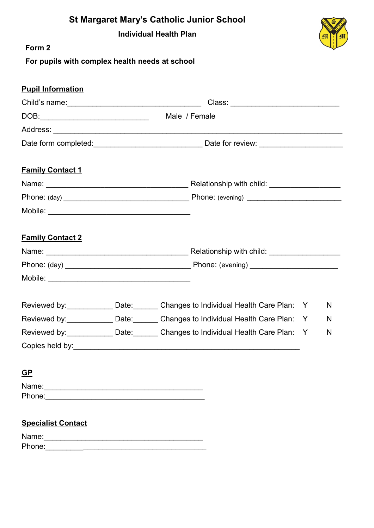| <b>St Margaret Mary's Catholic Junior School</b> |  |  |  |  |
|--------------------------------------------------|--|--|--|--|
|--------------------------------------------------|--|--|--|--|

**Individual Health Plan**



**Form 2**

**For pupils with complex health needs at school**

| <b>Pupil Information</b>  |               |  |                                                            |   |   |  |
|---------------------------|---------------|--|------------------------------------------------------------|---|---|--|
|                           |               |  |                                                            |   |   |  |
|                           | Male / Female |  |                                                            |   |   |  |
|                           |               |  |                                                            |   |   |  |
|                           |               |  |                                                            |   |   |  |
| <b>Family Contact 1</b>   |               |  |                                                            |   |   |  |
|                           |               |  |                                                            |   |   |  |
|                           |               |  |                                                            |   |   |  |
|                           |               |  |                                                            |   |   |  |
| <b>Family Contact 2</b>   |               |  |                                                            |   |   |  |
|                           |               |  |                                                            |   |   |  |
|                           |               |  |                                                            |   |   |  |
|                           |               |  |                                                            |   |   |  |
|                           |               |  | Reviewed by: Date: Changes to Individual Health Care Plan: | Y | N |  |
|                           |               |  | Reviewed by: Date: Changes to Individual Health Care Plan: | Y | N |  |
|                           |               |  | Reviewed by: Date: Changes to Individual Health Care Plan: | Y | N |  |
|                           |               |  |                                                            |   |   |  |
| $GP$                      |               |  |                                                            |   |   |  |
|                           |               |  |                                                            |   |   |  |
|                           |               |  |                                                            |   |   |  |
| <b>Specialist Contact</b> |               |  |                                                            |   |   |  |
|                           |               |  |                                                            |   |   |  |
|                           |               |  |                                                            |   |   |  |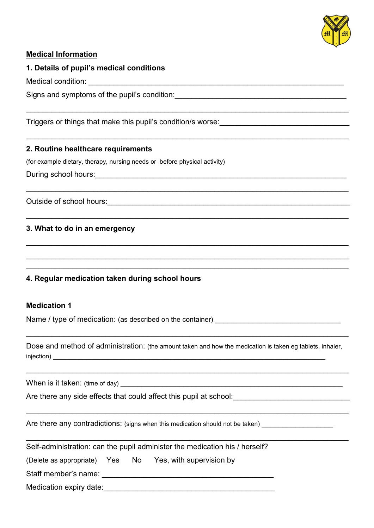

## **Medical Information**

### **1. Details of pupil's medical conditions**

Medical condition:

Signs and symptoms of the pupil's condition:

Triggers or things that make this pupil's condition/s worse:

## **2. Routine healthcare requirements**

(for example dietary, therapy, nursing needs or before physical activity)

During school hours:

Outside of school hours: example and the state of school hours:

## **3. What to do in an emergency**

## **4. Regular medication taken during school hours**

#### **Medication 1**

Name / type of medication: (as described on the container)

Dose and method of administration: (the amount taken and how the medication is taken eg tablets, inhaler, injection) \_\_\_\_\_\_\_\_\_\_\_\_\_\_\_\_\_\_\_\_\_\_\_\_\_\_\_\_\_\_\_\_\_\_\_\_\_\_\_\_\_\_\_\_\_\_\_\_\_\_\_\_\_\_\_\_\_\_\_\_\_\_\_\_\_

 $\mathcal{L}_\mathcal{L} = \mathcal{L}_\mathcal{L} = \mathcal{L}_\mathcal{L} = \mathcal{L}_\mathcal{L} = \mathcal{L}_\mathcal{L} = \mathcal{L}_\mathcal{L} = \mathcal{L}_\mathcal{L} = \mathcal{L}_\mathcal{L} = \mathcal{L}_\mathcal{L} = \mathcal{L}_\mathcal{L} = \mathcal{L}_\mathcal{L} = \mathcal{L}_\mathcal{L} = \mathcal{L}_\mathcal{L} = \mathcal{L}_\mathcal{L} = \mathcal{L}_\mathcal{L} = \mathcal{L}_\mathcal{L} = \mathcal{L}_\mathcal{L}$ 

\_\_\_\_\_\_\_\_\_\_\_\_\_\_\_\_\_\_\_\_\_\_\_\_\_\_\_\_\_\_\_\_\_\_\_\_\_\_\_\_\_\_\_\_\_\_\_\_\_\_\_\_\_\_\_\_\_\_\_\_\_\_\_\_\_\_\_\_\_\_\_\_\_\_\_\_\_

 $\mathcal{L}_\mathcal{L} = \mathcal{L}_\mathcal{L} = \mathcal{L}_\mathcal{L} = \mathcal{L}_\mathcal{L} = \mathcal{L}_\mathcal{L} = \mathcal{L}_\mathcal{L} = \mathcal{L}_\mathcal{L} = \mathcal{L}_\mathcal{L} = \mathcal{L}_\mathcal{L} = \mathcal{L}_\mathcal{L} = \mathcal{L}_\mathcal{L} = \mathcal{L}_\mathcal{L} = \mathcal{L}_\mathcal{L} = \mathcal{L}_\mathcal{L} = \mathcal{L}_\mathcal{L} = \mathcal{L}_\mathcal{L} = \mathcal{L}_\mathcal{L}$ 

\_\_\_\_\_\_\_\_\_\_\_\_\_\_\_\_\_\_\_\_\_\_\_\_\_\_\_\_\_\_\_\_\_\_\_\_\_\_\_\_\_\_\_\_\_\_\_\_\_\_\_\_\_\_\_\_\_\_\_\_\_\_\_\_\_\_\_\_\_\_\_\_\_\_\_\_\_

\_\_\_\_\_\_\_\_\_\_\_\_\_\_\_\_\_\_\_\_\_\_\_\_\_\_\_\_\_\_\_\_\_\_\_\_\_\_\_\_\_\_\_\_\_\_\_\_\_\_\_\_\_\_\_\_\_\_\_\_\_\_\_\_\_\_\_\_\_\_\_\_\_\_\_\_\_

\_\_\_\_\_\_\_\_\_\_\_\_\_\_\_\_\_\_\_\_\_\_\_\_\_\_\_\_\_\_\_\_\_\_\_\_\_\_\_\_\_\_\_\_\_\_\_\_\_\_\_\_\_\_\_\_\_\_\_\_\_\_\_\_\_\_\_\_\_\_\_\_\_\_\_\_\_

\_\_\_\_\_\_\_\_\_\_\_\_\_\_\_\_\_\_\_\_\_\_\_\_\_\_\_\_\_\_\_\_\_\_\_\_\_\_\_\_\_\_\_\_\_\_\_\_\_\_\_\_\_\_\_\_\_\_\_\_\_\_\_\_\_\_\_\_\_\_\_\_\_\_\_\_\_

\_\_\_\_\_\_\_\_\_\_\_\_\_\_\_\_\_\_\_\_\_\_\_\_\_\_\_\_\_\_\_\_\_\_\_\_\_\_\_\_\_\_\_\_\_\_\_\_\_\_\_\_\_\_\_\_\_\_\_\_\_\_\_\_\_\_\_\_\_\_\_\_\_\_\_\_\_

\_\_\_\_\_\_\_\_\_\_\_\_\_\_\_\_\_\_\_\_\_\_\_\_\_\_\_\_\_\_\_\_\_\_\_\_\_\_\_\_\_\_\_\_\_\_\_\_\_\_\_\_\_\_\_\_\_\_\_\_\_\_\_\_\_\_\_\_\_\_\_\_\_\_\_\_\_

\_\_\_\_\_\_\_\_\_\_\_\_\_\_\_\_\_\_\_\_\_\_\_\_\_\_\_\_\_\_\_\_\_\_\_\_\_\_\_\_\_\_\_\_\_\_\_\_\_\_\_\_\_\_\_\_\_\_\_\_\_\_\_\_\_\_\_\_\_\_\_\_\_\_\_\_\_ \_\_\_\_\_\_\_\_\_\_\_\_\_\_\_\_\_\_\_\_\_\_\_\_\_\_\_\_\_\_\_\_\_\_\_\_\_\_\_\_\_\_\_\_\_\_\_\_\_\_\_\_\_\_\_\_\_\_\_\_\_\_\_\_\_\_\_\_\_\_\_\_\_\_\_\_\_

When is it taken: (time of day) \_\_\_\_\_\_\_\_\_\_\_\_\_\_\_\_\_\_\_\_\_\_\_\_\_\_\_\_\_\_\_\_\_\_\_\_\_\_\_\_\_\_\_\_\_\_\_\_\_\_\_\_\_

Are there any side effects that could affect this pupil at school:

Are there any contradictions: (signs when this medication should not be taken)

|                         |  |  | Self-administration: can the pupil administer the medication his / herself? |  |  |
|-------------------------|--|--|-----------------------------------------------------------------------------|--|--|
|                         |  |  | (Delete as appropriate) Yes No Yes, with supervision by                     |  |  |
| Staff member's name:    |  |  |                                                                             |  |  |
| Medication expiry date: |  |  |                                                                             |  |  |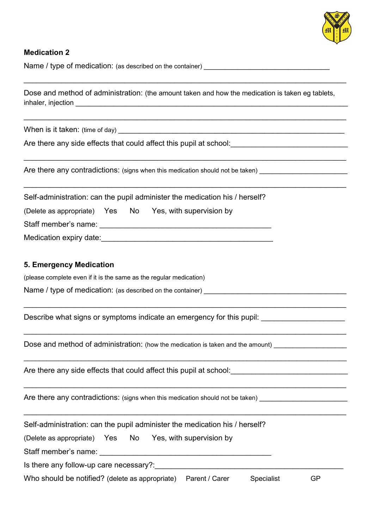

#### **Medication 2**

Name / type of medication: (as described on the container)

Dose and method of administration: (the amount taken and how the medication is taken eg tablets, inhaler, injection **and the set of the set of the set of the set of the set of the set of the set of the set of the set of the set of the set of the set of the set of the set of the set of the set of the set of the set of** 

 $\mathcal{L}_\mathcal{L} = \mathcal{L}_\mathcal{L} = \mathcal{L}_\mathcal{L} = \mathcal{L}_\mathcal{L} = \mathcal{L}_\mathcal{L} = \mathcal{L}_\mathcal{L} = \mathcal{L}_\mathcal{L} = \mathcal{L}_\mathcal{L} = \mathcal{L}_\mathcal{L} = \mathcal{L}_\mathcal{L} = \mathcal{L}_\mathcal{L} = \mathcal{L}_\mathcal{L} = \mathcal{L}_\mathcal{L} = \mathcal{L}_\mathcal{L} = \mathcal{L}_\mathcal{L} = \mathcal{L}_\mathcal{L} = \mathcal{L}_\mathcal{L}$ 

\_\_\_\_\_\_\_\_\_\_\_\_\_\_\_\_\_\_\_\_\_\_\_\_\_\_\_\_\_\_\_\_\_\_\_\_\_\_\_\_\_\_\_\_\_\_\_\_\_\_\_\_\_\_\_\_\_\_\_\_\_\_\_\_\_\_\_\_\_\_\_\_\_\_\_\_\_

 $\mathcal{L}_\mathcal{L} = \mathcal{L}_\mathcal{L} = \mathcal{L}_\mathcal{L} = \mathcal{L}_\mathcal{L} = \mathcal{L}_\mathcal{L} = \mathcal{L}_\mathcal{L} = \mathcal{L}_\mathcal{L} = \mathcal{L}_\mathcal{L} = \mathcal{L}_\mathcal{L} = \mathcal{L}_\mathcal{L} = \mathcal{L}_\mathcal{L} = \mathcal{L}_\mathcal{L} = \mathcal{L}_\mathcal{L} = \mathcal{L}_\mathcal{L} = \mathcal{L}_\mathcal{L} = \mathcal{L}_\mathcal{L} = \mathcal{L}_\mathcal{L}$ 

\_\_\_\_\_\_\_\_\_\_\_\_\_\_\_\_\_\_\_\_\_\_\_\_\_\_\_\_\_\_\_\_\_\_\_\_\_\_\_\_\_\_\_\_\_\_\_\_\_\_\_\_\_\_\_\_\_\_\_\_\_\_\_\_\_\_\_\_\_\_\_\_\_\_\_\_\_

 $\mathcal{L}_\mathcal{L} = \mathcal{L}_\mathcal{L} = \mathcal{L}_\mathcal{L} = \mathcal{L}_\mathcal{L} = \mathcal{L}_\mathcal{L} = \mathcal{L}_\mathcal{L} = \mathcal{L}_\mathcal{L} = \mathcal{L}_\mathcal{L} = \mathcal{L}_\mathcal{L} = \mathcal{L}_\mathcal{L} = \mathcal{L}_\mathcal{L} = \mathcal{L}_\mathcal{L} = \mathcal{L}_\mathcal{L} = \mathcal{L}_\mathcal{L} = \mathcal{L}_\mathcal{L} = \mathcal{L}_\mathcal{L} = \mathcal{L}_\mathcal{L}$ 

 $\mathcal{L}_\mathcal{L} = \mathcal{L}_\mathcal{L} = \mathcal{L}_\mathcal{L} = \mathcal{L}_\mathcal{L} = \mathcal{L}_\mathcal{L} = \mathcal{L}_\mathcal{L} = \mathcal{L}_\mathcal{L} = \mathcal{L}_\mathcal{L} = \mathcal{L}_\mathcal{L} = \mathcal{L}_\mathcal{L} = \mathcal{L}_\mathcal{L} = \mathcal{L}_\mathcal{L} = \mathcal{L}_\mathcal{L} = \mathcal{L}_\mathcal{L} = \mathcal{L}_\mathcal{L} = \mathcal{L}_\mathcal{L} = \mathcal{L}_\mathcal{L}$ 

 $\_$  ,  $\_$  ,  $\_$  ,  $\_$  ,  $\_$  ,  $\_$  ,  $\_$  ,  $\_$  ,  $\_$  ,  $\_$  ,  $\_$  ,  $\_$  ,  $\_$  ,  $\_$  ,  $\_$  ,  $\_$  ,  $\_$  ,  $\_$  ,  $\_$  ,  $\_$  ,  $\_$  ,  $\_$  ,  $\_$  ,  $\_$  ,  $\_$  ,  $\_$  ,  $\_$  ,  $\_$  ,  $\_$  ,  $\_$  ,  $\_$  ,  $\_$  ,  $\_$  ,  $\_$  ,  $\_$  ,  $\_$  ,  $\_$  ,

\_\_\_\_\_\_\_\_\_\_\_\_\_\_\_\_\_\_\_\_\_\_\_\_\_\_\_\_\_\_\_\_\_\_\_\_\_\_\_\_\_\_\_\_\_\_\_\_\_\_\_\_\_\_\_\_\_\_\_\_\_\_\_\_\_\_\_\_\_\_\_\_\_\_\_\_\_

\_\_\_\_\_\_\_\_\_\_\_\_\_\_\_\_\_\_\_\_\_\_\_\_\_\_\_\_\_\_\_\_\_\_\_\_\_\_\_\_\_\_\_\_\_\_\_\_\_\_\_\_\_\_\_\_\_\_\_\_\_\_\_\_\_\_\_\_\_\_\_\_\_\_\_\_\_

When is it taken: (time of day)  $\blacksquare$ 

Are there any side effects that could affect this pupil at school:

Are there any contradictions: (signs when this medication should not be taken)

Self-administration: can the pupil administer the medication his / herself?

(Delete as appropriate) Yes No Yes, with supervision by

Staff member's name: \_\_\_\_\_\_\_\_\_\_\_\_\_\_\_\_\_\_\_\_\_\_\_\_\_\_\_\_\_\_\_\_\_\_\_\_\_\_\_\_\_

Medication expiry date:  $\blacksquare$ 

#### **5. Emergency Medication**

(please complete even if it is the same as the regular medication)

Name / type of medication: (as described on the container)

Describe what signs or symptoms indicate an emergency for this pupil:

Dose and method of administration: (how the medication is taken and the amount)

Are there any side effects that could affect this pupil at school:

Are there any contradictions: (signs when this medication should not be taken)

Self-administration: can the pupil administer the medication his / herself?

(Delete as appropriate) Yes No Yes, with supervision by

Staff member's name: \_\_\_\_\_\_\_\_\_\_\_\_\_\_\_\_\_\_\_\_\_\_\_\_\_\_\_\_\_\_\_\_\_\_\_\_\_\_\_\_\_

Is there any follow-up care necessary?:

Who should be notified? (delete as appropriate) Parent / Carer Specialist GP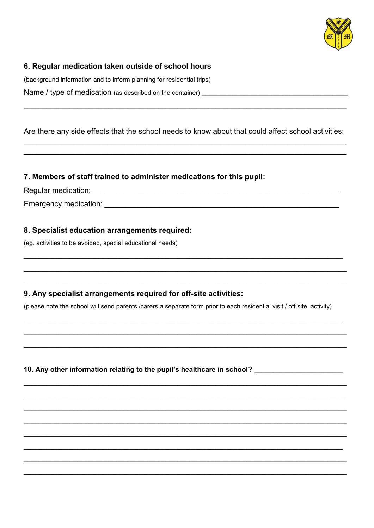

# 6. Regular medication taken outside of school hours

(background information and to inform planning for residential trips) Name / type of medication (as described on the container)

Are there any side effects that the school needs to know about that could affect school activities:

## 7. Members of staff trained to administer medications for this pupil:

## 8. Specialist education arrangements required:

(eg. activities to be avoided, special educational needs)

## 9. Any specialist arrangements required for off-site activities:

(please note the school will send parents /carers a separate form prior to each residential visit / off site activity)

10. Any other information relating to the pupil's healthcare in school?